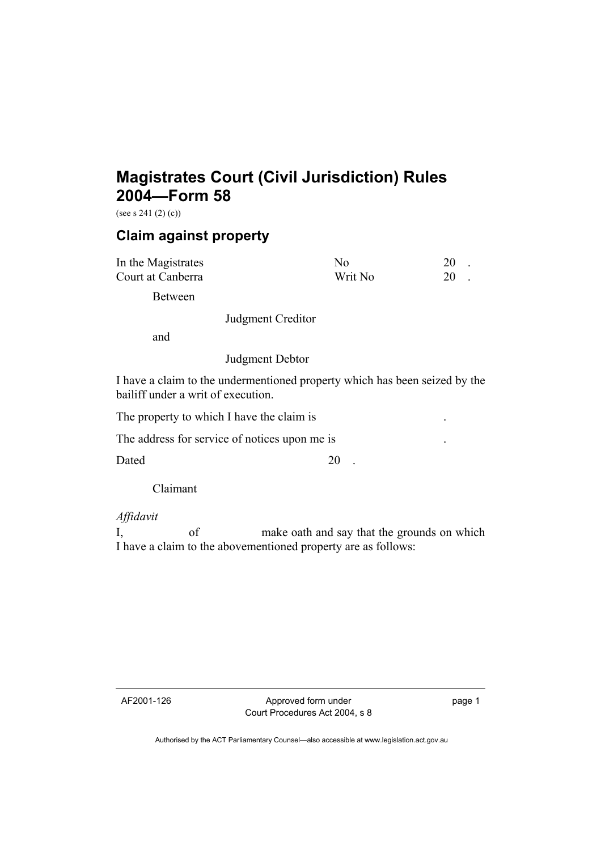## **Magistrates Court (Civil Jurisdiction) Rules 2004—Form 58**

(see s 241 (2) (c))

## **Claim against property**

| In the Magistrates | Nο      |  |
|--------------------|---------|--|
| Court at Canberra  | Writ No |  |

Between

Judgment Creditor

and

Judgment Debtor

I have a claim to the undermentioned property which has been seized by the bailiff under a writ of execution.

The property to which I have the claim is

The address for service of notices upon me is

Dated 20 .

Claimant

*Affidavit*

I, of make oath and say that the grounds on which I have a claim to the abovementioned property are as follows:

AF2001-126 Approved form under Court Procedures Act 2004, s 8 page 1

Authorised by the ACT Parliamentary Counsel—also accessible at www.legislation.act.gov.au